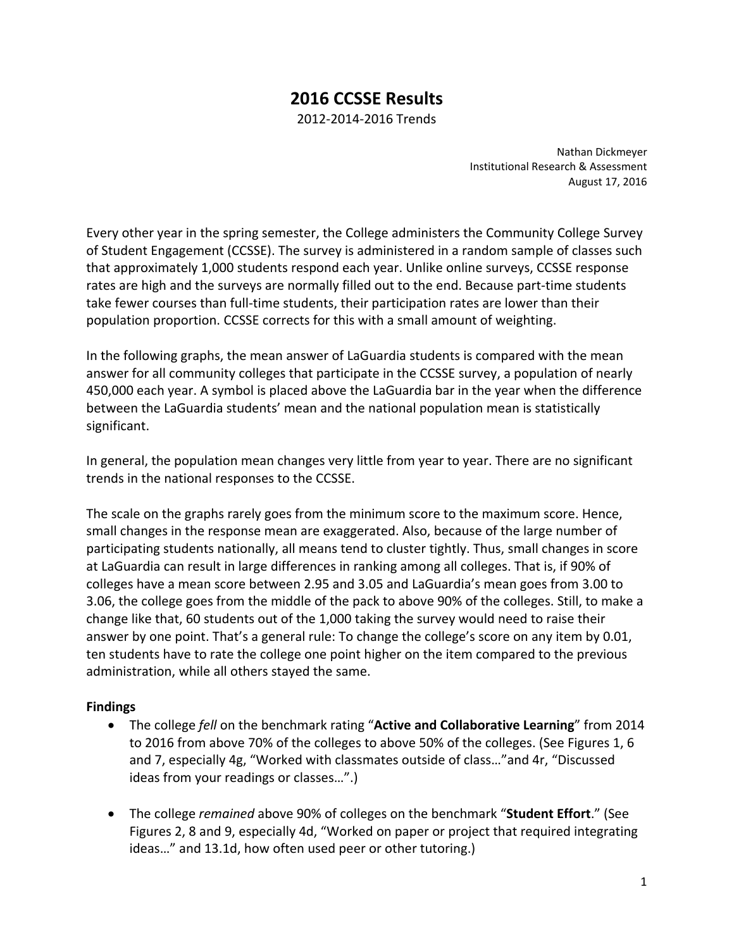# **2016 CCSSE Results**

2012‐2014‐2016 Trends

Nathan Dickmeyer Institutional Research & Assessment August 17, 2016

Every other year in the spring semester, the College administers the Community College Survey of Student Engagement (CCSSE). The survey is administered in a random sample of classes such that approximately 1,000 students respond each year. Unlike online surveys, CCSSE response rates are high and the surveys are normally filled out to the end. Because part-time students take fewer courses than full‐time students, their participation rates are lower than their population proportion. CCSSE corrects for this with a small amount of weighting.

In the following graphs, the mean answer of LaGuardia students is compared with the mean answer for all community colleges that participate in the CCSSE survey, a population of nearly 450,000 each year. A symbol is placed above the LaGuardia bar in the year when the difference between the LaGuardia students' mean and the national population mean is statistically significant.

In general, the population mean changes very little from year to year. There are no significant trends in the national responses to the CCSSE.

The scale on the graphs rarely goes from the minimum score to the maximum score. Hence, small changes in the response mean are exaggerated. Also, because of the large number of participating students nationally, all means tend to cluster tightly. Thus, small changes in score at LaGuardia can result in large differences in ranking among all colleges. That is, if 90% of colleges have a mean score between 2.95 and 3.05 and LaGuardia's mean goes from 3.00 to 3.06, the college goes from the middle of the pack to above 90% of the colleges. Still, to make a change like that, 60 students out of the 1,000 taking the survey would need to raise their answer by one point. That's a general rule: To change the college's score on any item by 0.01, ten students have to rate the college one point higher on the item compared to the previous administration, while all others stayed the same.

## **Findings**

- The college *fell* on the benchmark rating "**Active and Collaborative Learning**" from 2014 to 2016 from above 70% of the colleges to above 50% of the colleges. (See Figures 1, 6 and 7, especially 4g, "Worked with classmates outside of class…"and 4r, "Discussed ideas from your readings or classes…".)
- The college *remained* above 90% of colleges on the benchmark "**Student Effort**." (See Figures 2, 8 and 9, especially 4d, "Worked on paper or project that required integrating ideas…" and 13.1d, how often used peer or other tutoring.)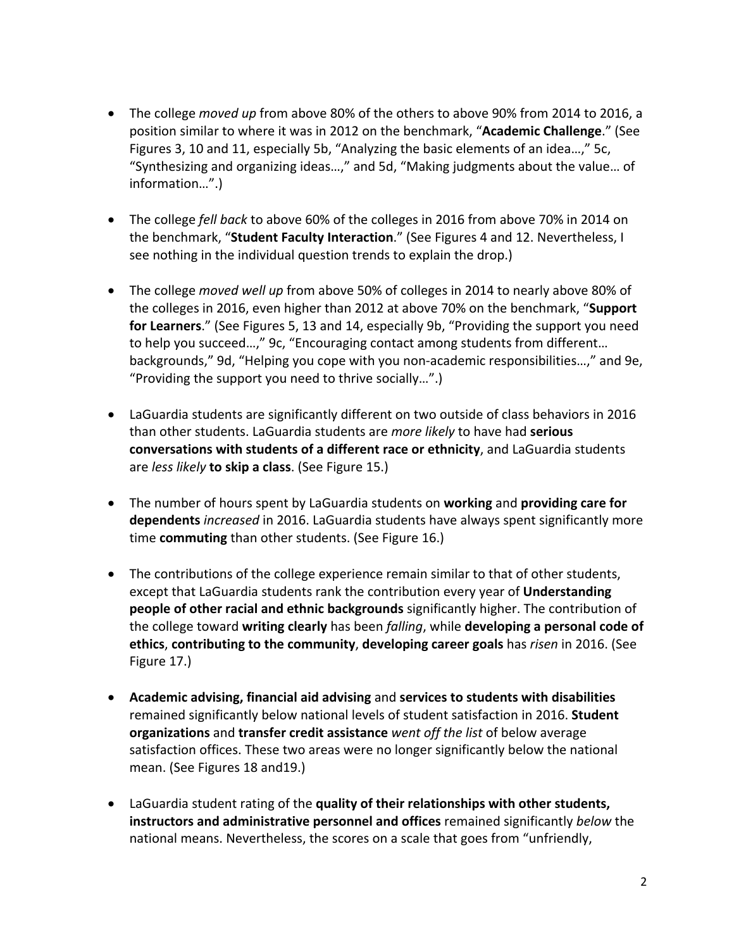- The college *moved up* from above 80% of the others to above 90% from 2014 to 2016, a position similar to where it was in 2012 on the benchmark, "**Academic Challenge**." (See Figures 3, 10 and 11, especially 5b, "Analyzing the basic elements of an idea…," 5c, "Synthesizing and organizing ideas…," and 5d, "Making judgments about the value… of information…".)
- The college *fell back* to above 60% of the colleges in 2016 from above 70% in 2014 on the benchmark, "**Student Faculty Interaction**." (See Figures 4 and 12. Nevertheless, I see nothing in the individual question trends to explain the drop.)
- The college *moved well up* from above 50% of colleges in 2014 to nearly above 80% of the colleges in 2016, even higher than 2012 at above 70% on the benchmark, "**Support for Learners**." (See Figures 5, 13 and 14, especially 9b, "Providing the support you need to help you succeed…," 9c, "Encouraging contact among students from different… backgrounds," 9d, "Helping you cope with you non‐academic responsibilities…," and 9e, "Providing the support you need to thrive socially…".)
- LaGuardia students are significantly different on two outside of class behaviors in 2016 than other students. LaGuardia students are *more likely* to have had **serious conversations with students of a different race or ethnicity**, and LaGuardia students are *less likely* **to skip a class**. (See Figure 15.)
- The number of hours spent by LaGuardia students on **working** and **providing care for dependents** *increased* in 2016. LaGuardia students have always spent significantly more time **commuting** than other students. (See Figure 16.)
- The contributions of the college experience remain similar to that of other students, except that LaGuardia students rank the contribution every year of **Understanding people of other racial and ethnic backgrounds** significantly higher. The contribution of the college toward **writing clearly** has been *falling*, while **developing a personal code of ethics**, **contributing to the community**, **developing career goals** has *risen* in 2016. (See Figure 17.)
- **Academic advising, financial aid advising** and **services to students with disabilities** remained significantly below national levels of student satisfaction in 2016. **Student organizations** and **transfer credit assistance** *went off the list* of below average satisfaction offices. These two areas were no longer significantly below the national mean. (See Figures 18 and19.)
- LaGuardia student rating of the **quality of their relationships with other students, instructors and administrative personnel and offices** remained significantly *below* the national means. Nevertheless, the scores on a scale that goes from "unfriendly,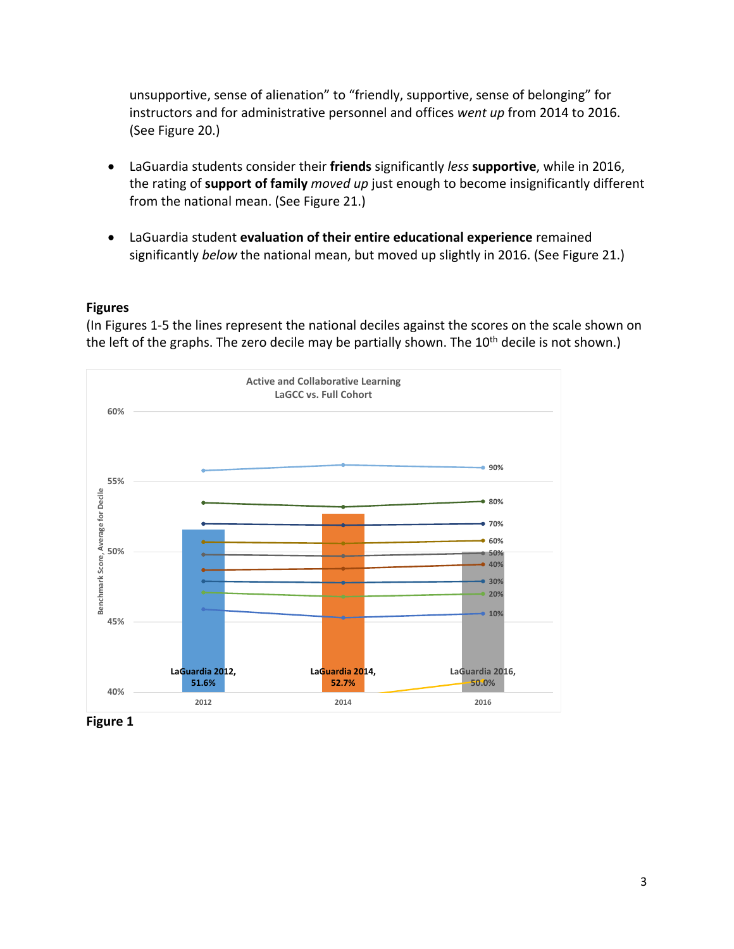unsupportive, sense of alienation" to "friendly, supportive, sense of belonging" for instructors and for administrative personnel and offices *went up* from 2014 to 2016. (See Figure 20.)

- LaGuardia students consider their **friends** significantly *less* **supportive**, while in 2016, the rating of **support of family** *moved up* just enough to become insignificantly different from the national mean. (See Figure 21.)
- LaGuardia student **evaluation of their entire educational experience** remained significantly *below* the national mean, but moved up slightly in 2016. (See Figure 21.)

### **Figures**

(In Figures 1‐5 the lines represent the national deciles against the scores on the scale shown on the left of the graphs. The zero decile may be partially shown. The  $10<sup>th</sup>$  decile is not shown.)



**Figure 1**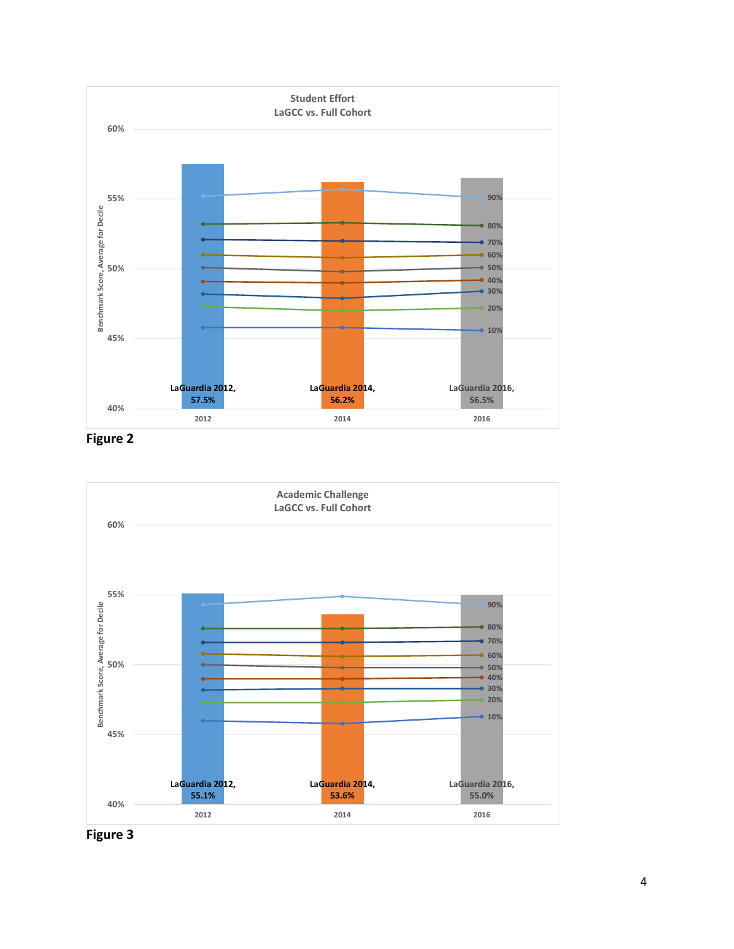

**Figure 2**



**Figure 3**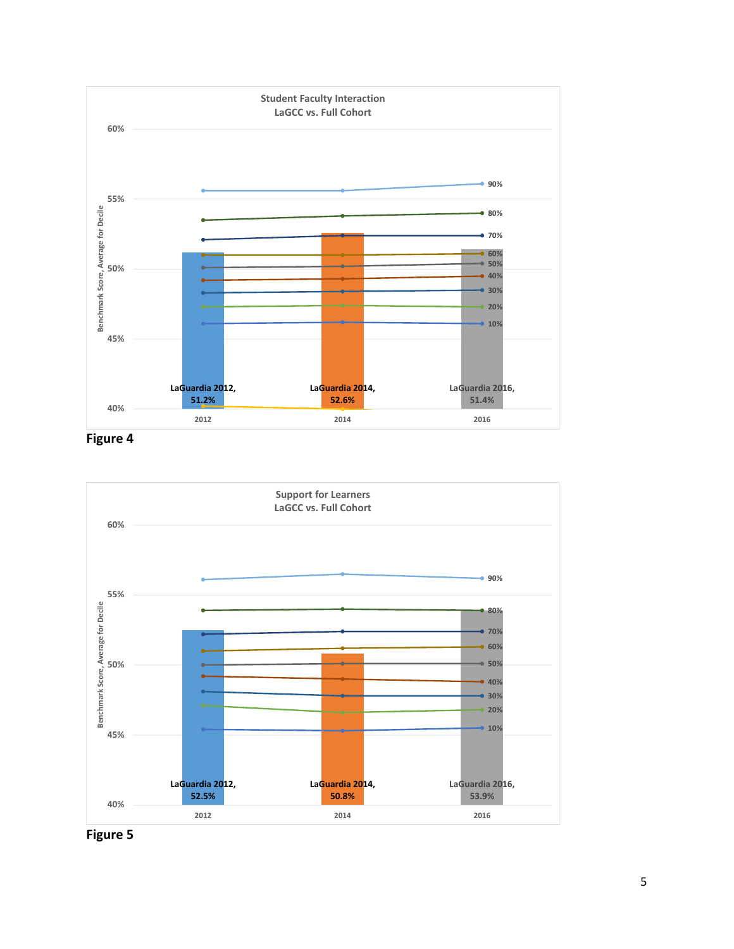

**Figure 4**



**Figure 5**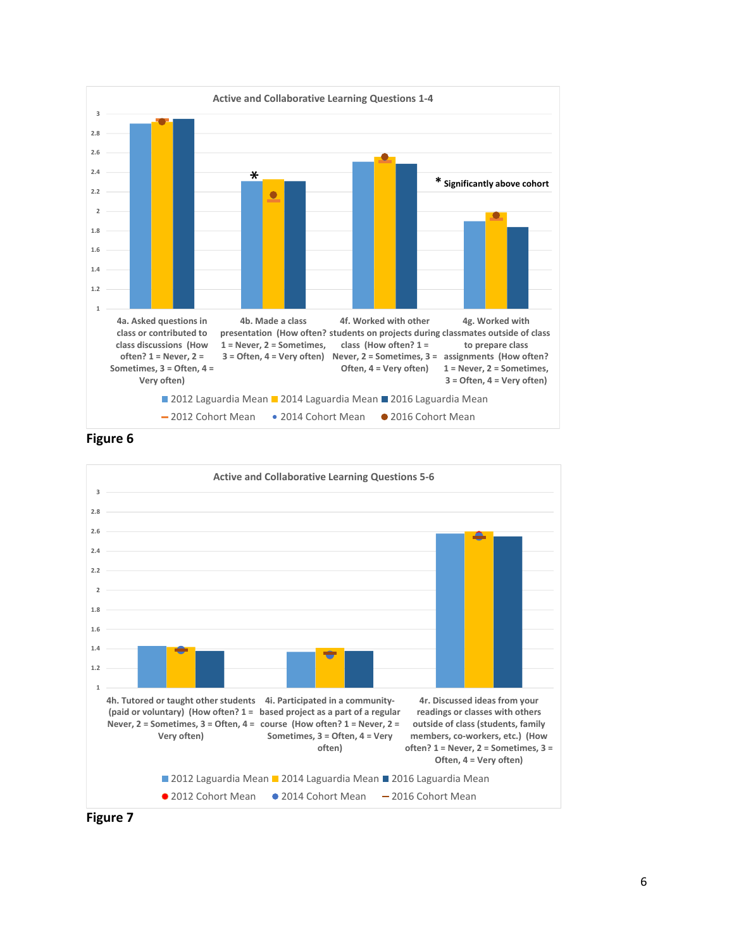



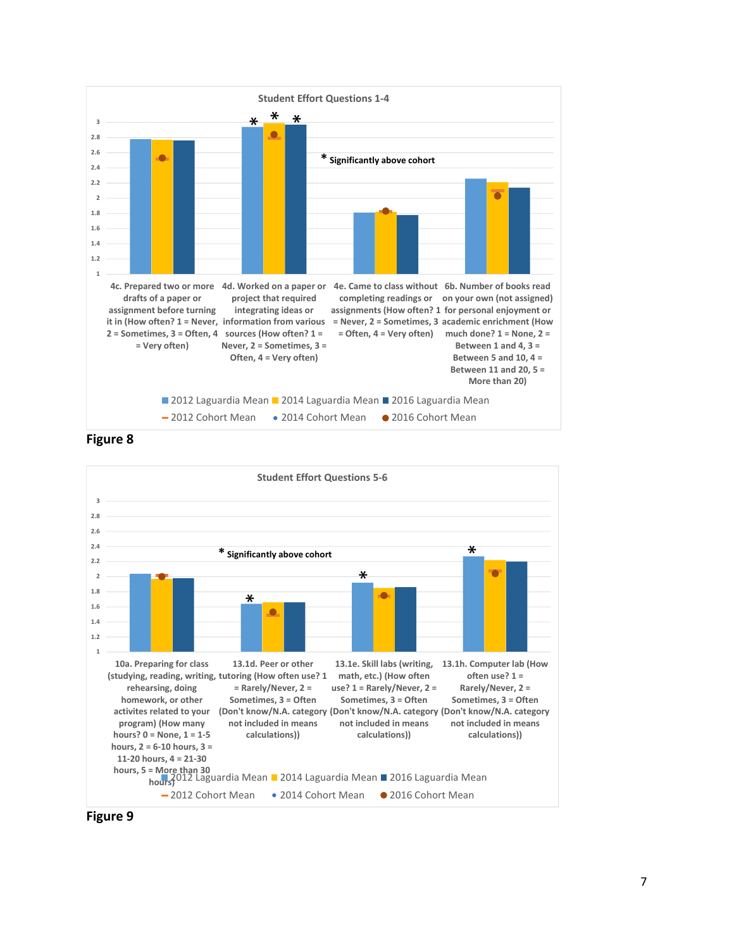

**Figure 8**



**Figure 9**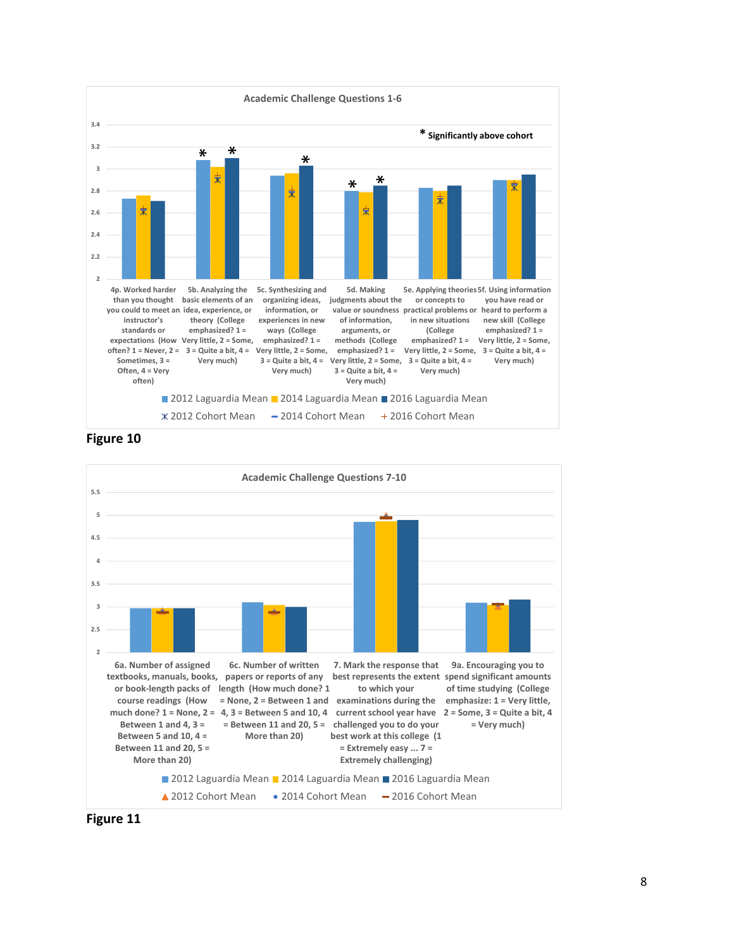

**Figure 10**



**Figure 11**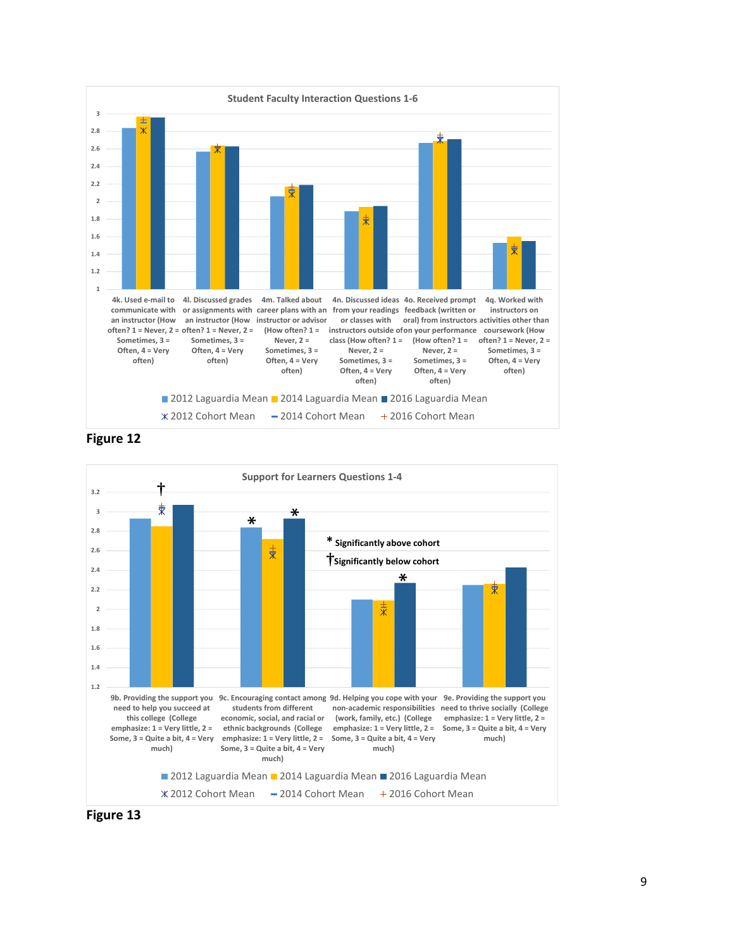

**Figure 12**



**Figure 13**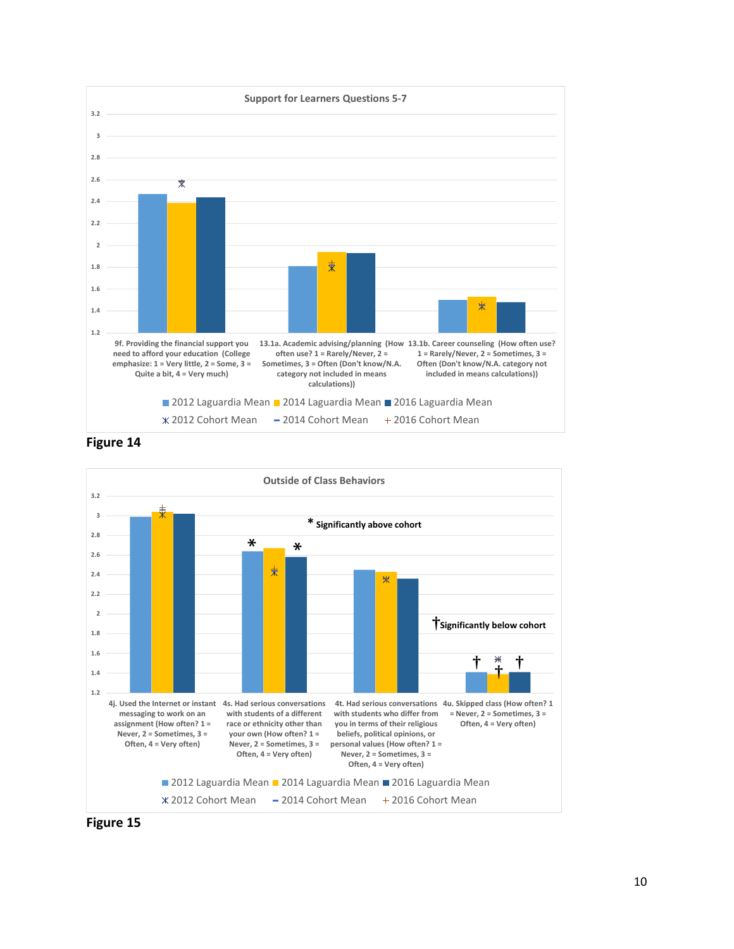

**Figure 14**



**Figure 15**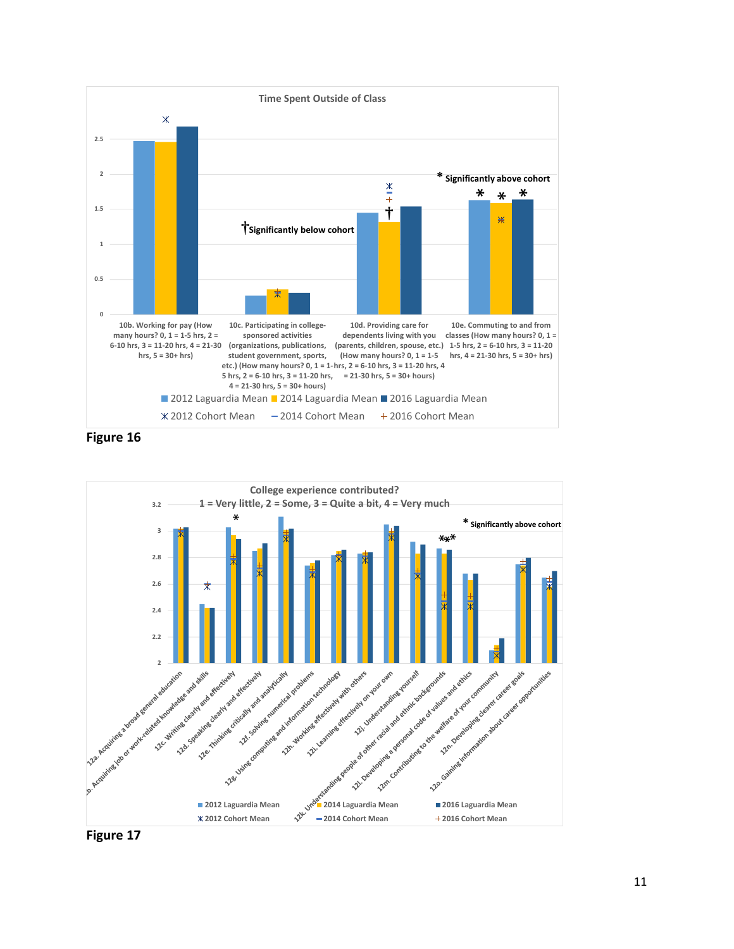

**Figure 16**



**Figure 17**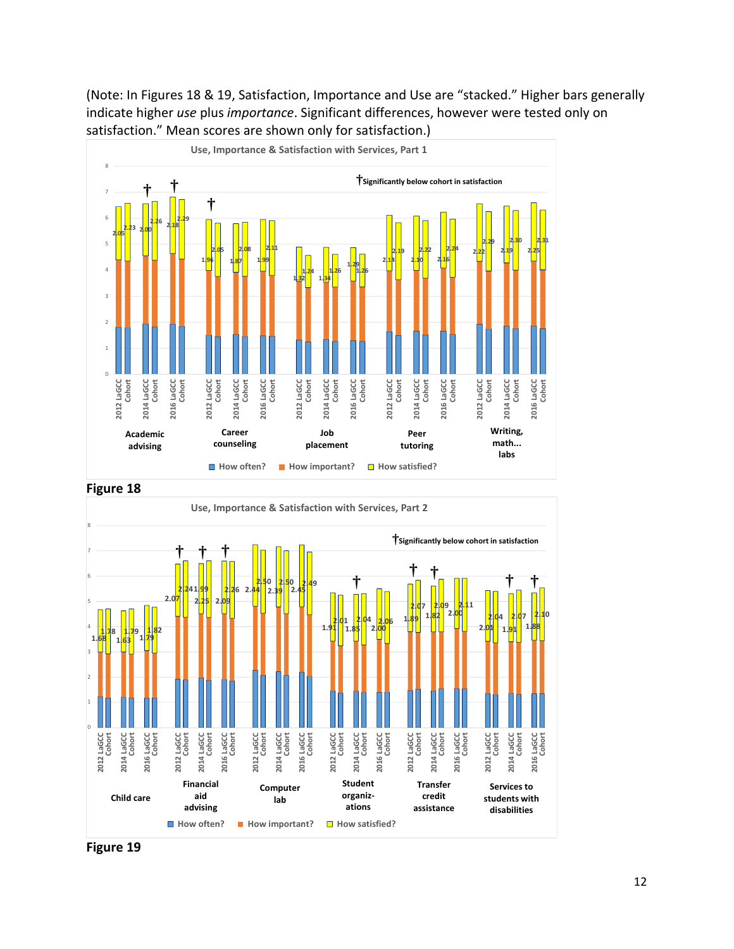## (Note: In Figures 18 & 19, Satisfaction, Importance and Use are "stacked." Higher bars generally indicate higher *use* plus *importance*. Significant differences, however were tested only on satisfaction." Mean scores are shown only for satisfaction.)



**Figure 18**



**Figure 19**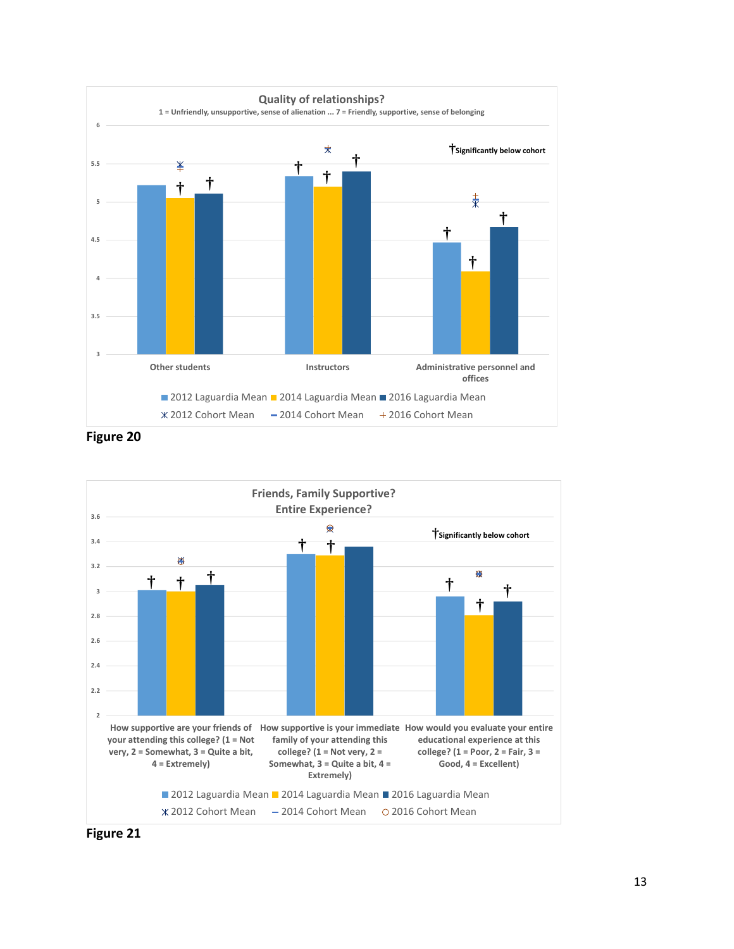

**Figure 20**



**Figure 21**